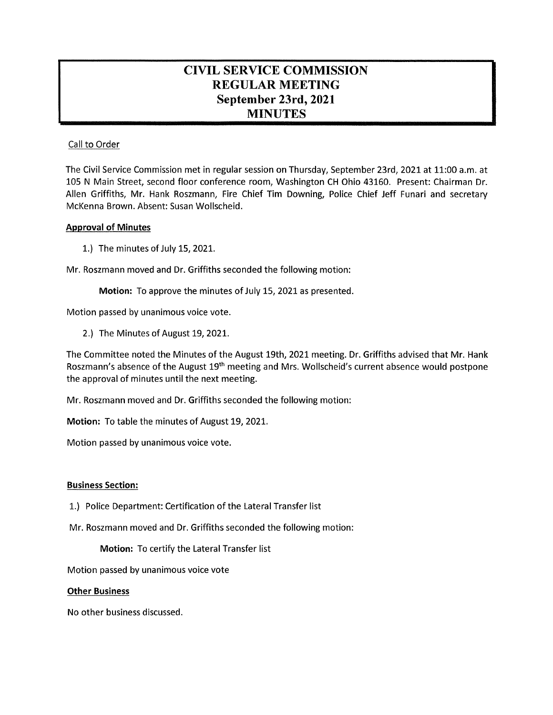# **CIVIL SERVICE COMMISSION REGULAR MEETING September 23rd, 2021 MINUTES**

## Call to Order

The Civil Service Commission met in regular session on Thursday, September 23rd, 2021 at 11:00 a.m. at 105 N Main Street, second floor conference room, Washington CH Ohio 43160. Present: Chairman Dr. Allen Griffiths, Mr. Hank Roszmann, Fire Chief Tim Downing, Police Chief Jeff Funari and secretary McKenna Brown. Absent: Susan Wollscheid.

### **Approval of Minutes**

1. ) The minutes of July 15, 2021.

Mr. Roszmann moved and Dr. Griffiths seconded the following motion:

**Motion:** To approve the minutes of July 15, 2021 as presented.

Motion passed by unanimous voice vote.

2.) The Minutes of August 19, 2021.

The Committee noted the Minutes of the August 19th, 2021 meeting. Dr. Griffiths advised that Mr. Hank Roszmann's absence of the August 19th meeting and Mrs. Wollscheid's current absence would postpone the approval of minutes until the next meeting.

Mr. Roszmann moved and Dr. Griffiths seconded the following motion:

**Motion:** To table the minutes of August 19, 2021.

Motion passed by unanimous voice vote.

### **Business Section:**

- 1.) Police Department: Certification of the Lateral Transfer list
- Mr. Roszmann moved and Dr. Griffiths seconded the following motion:

**Motion:** To certify the Lateral Transfer list

Motion passed by unanimous voice vote

### **Other Business**

No other business discussed.